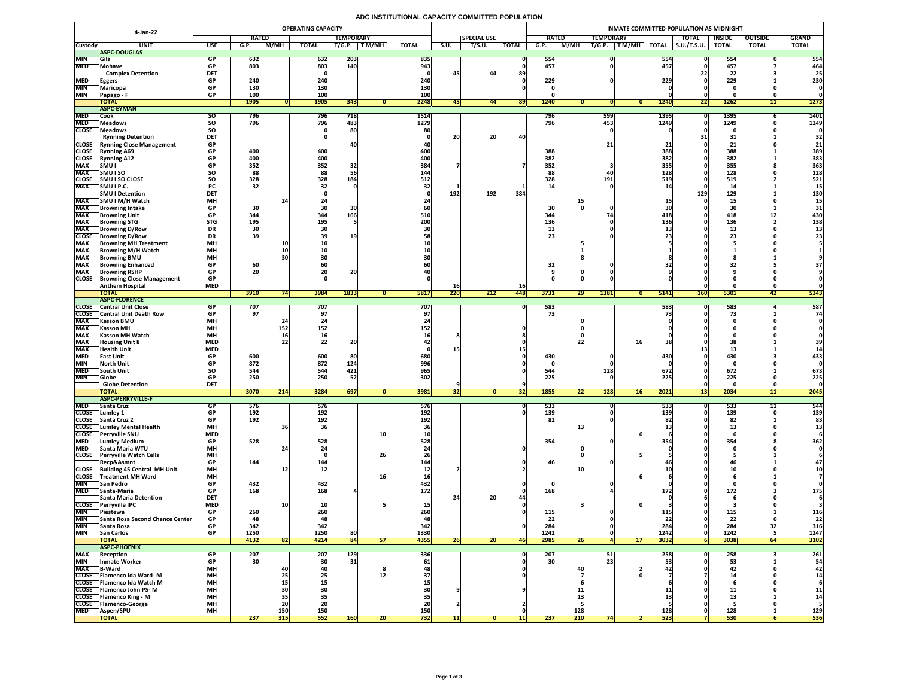## **ADC INSTITUTIONAL CAPACITY COMMITTED POPULATION**

|                              | 4-Jan-22                                                     | <b>OPERATING CAPACITY</b> |                 |                                                                |                 |                  |            |              |      | <b>INMATE COMMITTED POPULATION AS MIDNIGHT</b> |                  |                  |             |                  |                      |                   |                     |                                           |                                                                                                                                                                                                                                                                                                                                                                                                                                 |              |  |  |
|------------------------------|--------------------------------------------------------------|---------------------------|-----------------|----------------------------------------------------------------|-----------------|------------------|------------|--------------|------|------------------------------------------------|------------------|------------------|-------------|------------------|----------------------|-------------------|---------------------|-------------------------------------------|---------------------------------------------------------------------------------------------------------------------------------------------------------------------------------------------------------------------------------------------------------------------------------------------------------------------------------------------------------------------------------------------------------------------------------|--------------|--|--|
|                              |                                                              |                           | <b>RATED</b>    |                                                                |                 | <b>TEMPORARY</b> |            |              |      | <b>SPECIAL USE</b>                             |                  | <b>RATED</b>     |             | <b>TEMPORARY</b> |                      |                   | <b>TOTAL</b>        | <b>INSIDE</b>                             | <b>OUTSIDE</b>                                                                                                                                                                                                                                                                                                                                                                                                                  | <b>GRAND</b> |  |  |
| <b>Custody</b>               | <b>UNIT</b>                                                  | <b>USE</b>                | G.P.            | <b>M/MH</b>                                                    | <b>TOTAL</b>    | T/G.P.           | T M/MH     | <b>TOTAL</b> | S.U. | T/S.U.                                         | <b>TOTAL</b>     | G.P.             | <b>M/MH</b> | T/G.P.           | $\sqrt{T}$ M/MH $_1$ | <b>TOTAL</b>      | $\vert$ S.U./T.S.U. | <b>TOTAL</b>                              | <b>TOTAL</b>                                                                                                                                                                                                                                                                                                                                                                                                                    | <b>TOTAL</b> |  |  |
|                              | ASPC-DOUGLAS                                                 |                           |                 |                                                                |                 |                  |            |              |      |                                                |                  |                  |             |                  |                      |                   |                     |                                           |                                                                                                                                                                                                                                                                                                                                                                                                                                 |              |  |  |
| <b>MIN</b><br><b>MED</b>     | <b>Sila</b><br>Mohave                                        | GP.<br><b>GP</b>          | 632<br>803      |                                                                | 632<br>803      | 203<br>140       |            | 835<br>943   |      |                                                |                  | 554<br>457       |             |                  |                      | 554<br>457        |                     | 55 <sup>2</sup><br>457                    |                                                                                                                                                                                                                                                                                                                                                                                                                                 | 554<br>464   |  |  |
|                              | <b>Complex Detention</b>                                     | <b>DET</b>                |                 |                                                                |                 |                  |            |              |      | 44                                             | 89               |                  |             |                  |                      |                   | 221                 | 22                                        |                                                                                                                                                                                                                                                                                                                                                                                                                                 | 25           |  |  |
| <b>MED</b>                   | <b>Eggers</b>                                                | <b>GP</b>                 | 240             |                                                                | 240             |                  |            | 240          |      |                                                |                  | 229              |             |                  |                      | 229               |                     | 229                                       |                                                                                                                                                                                                                                                                                                                                                                                                                                 | 230          |  |  |
| <b>MIN</b>                   | Maricopa                                                     | <b>GP</b>                 | 130             |                                                                | 130             |                  |            | 130          |      |                                                |                  |                  |             |                  |                      |                   |                     |                                           |                                                                                                                                                                                                                                                                                                                                                                                                                                 |              |  |  |
| <b>MIN</b>                   | Papago - F                                                   | <b>GP</b>                 | <b>100</b>      |                                                                | 100             |                  |            | 100          |      |                                                |                  |                  |             |                  |                      |                   |                     |                                           |                                                                                                                                                                                                                                                                                                                                                                                                                                 |              |  |  |
|                              | <b>TOTAL</b><br><b>ASPC-EYMAN</b>                            |                           | <b>1905</b>     |                                                                | <b>1905</b>     | 343              |            | 2248         |      | 441                                            | <b>891</b>       | 1240             |             |                  |                      | <b>12401</b>      | 221                 | <b>1262</b>                               |                                                                                                                                                                                                                                                                                                                                                                                                                                 | 1273         |  |  |
| <b>MED</b>                   | Cook                                                         | SO.                       | 796             |                                                                | <b>796</b>      | 718              |            | 1514         |      |                                                |                  | 796              |             | 599              |                      | 1395 <sup>T</sup> |                     | 1395                                      |                                                                                                                                                                                                                                                                                                                                                                                                                                 | 1401         |  |  |
| <b>MED</b>                   | <b>Meadows</b>                                               | <b>SO</b>                 | 796             |                                                                | 796             | 483              |            | 1279         |      |                                                |                  | 796              |             | 453              |                      | 1249              |                     | 1249                                      |                                                                                                                                                                                                                                                                                                                                                                                                                                 | 1249         |  |  |
| <b>CLOSE</b>                 | Meadows                                                      | SO                        |                 |                                                                |                 | 80               |            | 80           |      |                                                |                  |                  |             |                  |                      |                   |                     |                                           |                                                                                                                                                                                                                                                                                                                                                                                                                                 |              |  |  |
|                              | <b>Rynning Detention</b>                                     | <b>DET</b>                |                 |                                                                |                 |                  |            |              | 20   | 20                                             | 40               |                  |             |                  |                      |                   |                     | 31                                        |                                                                                                                                                                                                                                                                                                                                                                                                                                 | 32           |  |  |
|                              | <b>CLOSE</b> Rynning Close Management                        | <b>GP</b>                 |                 |                                                                |                 |                  |            |              |      |                                                |                  |                  |             | 21 <sub>1</sub>  |                      |                   |                     |                                           |                                                                                                                                                                                                                                                                                                                                                                                                                                 | 21           |  |  |
| <b>CLOSE</b><br><b>CLOSE</b> | <b>Rynning A69</b><br><b>Rynning A12</b>                     | <b>GP</b><br><b>GP</b>    | 400<br>400      |                                                                | 400<br>400      |                  |            | 400<br>400   |      |                                                |                  | 388<br>382       |             |                  |                      | 388<br>382        |                     | 388<br>382                                |                                                                                                                                                                                                                                                                                                                                                                                                                                 | 389<br>383   |  |  |
| <b>MAX</b>                   | <b>SMU</b>                                                   | <b>GP</b>                 | 352             |                                                                | 352             | 32               |            | 384          |      |                                                |                  | 352              |             |                  |                      | 355               |                     | 355                                       |                                                                                                                                                                                                                                                                                                                                                                                                                                 | 363          |  |  |
| <b>MAX</b>                   | <b>SMUISO</b>                                                | SO                        | 88              |                                                                | 88              |                  |            | 144          |      |                                                |                  | 88               |             | 40               |                      | 128               |                     | 128                                       |                                                                                                                                                                                                                                                                                                                                                                                                                                 | 128          |  |  |
| <b>CLOSE</b>                 | <b>SMU I SO CLOSE</b>                                        | <b>SO</b>                 | 328             |                                                                | 328             | 184              |            | 512          |      |                                                |                  | 328              |             | 191              |                      | <b>519</b>        |                     | 519                                       |                                                                                                                                                                                                                                                                                                                                                                                                                                 | 521          |  |  |
| <b>MAX</b>                   | SMU I P.C.                                                   | <b>PC</b>                 | 32              |                                                                |                 |                  |            |              |      |                                                |                  |                  |             |                  |                      |                   |                     | $\begin{array}{c} \n1 \end{array}$<br>-45 |                                                                                                                                                                                                                                                                                                                                                                                                                                 |              |  |  |
| <b>MAX</b>                   | <b>SMU I Detention</b>                                       | <b>DET</b>                |                 |                                                                |                 |                  |            |              | 192  | 192                                            | 384              |                  |             |                  |                      |                   | 129                 | 129                                       |                                                                                                                                                                                                                                                                                                                                                                                                                                 | <b>130</b>   |  |  |
| <b>MAX</b>                   | SMU I M/H Watch<br><b>Browning Intake</b>                    | <b>MH</b><br><b>GP</b>    | 30              |                                                                |                 |                  |            |              |      |                                                |                  | 30               |             |                  |                      |                   |                     | ∸∸<br>30                                  |                                                                                                                                                                                                                                                                                                                                                                                                                                 | 5 L          |  |  |
| <b>MAX</b>                   | <b>Browning Unit</b>                                         | <b>GP</b>                 | 344             |                                                                | 344             | 166              |            | <b>510</b>   |      |                                                |                  | 344              |             |                  |                      | 418               |                     | 418                                       | ┻┻                                                                                                                                                                                                                                                                                                                                                                                                                              | 430          |  |  |
| <b>MAX</b>                   | <b>Browning STG</b>                                          | <b>STG</b>                | <b>195</b>      |                                                                | 195             |                  |            | 200          |      |                                                |                  | 136              |             |                  |                      | 136               |                     | 136                                       |                                                                                                                                                                                                                                                                                                                                                                                                                                 | 138          |  |  |
| <b>MAX</b>                   | <b>Browning D/Row</b>                                        | <b>DR</b>                 |                 |                                                                |                 |                  |            |              |      |                                                |                  |                  |             |                  |                      |                   |                     | --                                        |                                                                                                                                                                                                                                                                                                                                                                                                                                 |              |  |  |
| <b>CLOSE</b>                 | <b>Browning D/Row</b>                                        | <b>DR</b>                 | 39              |                                                                |                 | 19               |            |              |      |                                                |                  | 231              |             |                  |                      |                   |                     |                                           |                                                                                                                                                                                                                                                                                                                                                                                                                                 |              |  |  |
| <b>MAX</b><br><b>MAX</b>     | <b>Browning MH Treatment</b><br><b>Browning M/H Watch</b>    | <b>MH</b><br><b>MH</b>    |                 | <b>10</b>                                                      |                 |                  |            |              |      |                                                |                  |                  |             |                  |                      |                   |                     |                                           |                                                                                                                                                                                                                                                                                                                                                                                                                                 |              |  |  |
| <b>MAX</b>                   | <b>IBrowning BMU</b>                                         | <b>MH</b>                 |                 |                                                                |                 |                  |            |              |      |                                                |                  |                  |             |                  |                      |                   |                     |                                           |                                                                                                                                                                                                                                                                                                                                                                                                                                 |              |  |  |
| <b>MAX</b>                   | <b>Browning Enhanced</b>                                     | <b>GP</b>                 | 60 <sub>1</sub> |                                                                |                 |                  |            |              |      |                                                |                  | 32               |             |                  |                      |                   |                     |                                           |                                                                                                                                                                                                                                                                                                                                                                                                                                 |              |  |  |
| <b>MAX</b>                   | <b>Browning RSHP</b>                                         | <b>GP</b>                 | 20              |                                                                | ZU              | 20               |            |              |      |                                                |                  |                  |             |                  |                      |                   |                     |                                           |                                                                                                                                                                                                                                                                                                                                                                                                                                 |              |  |  |
| <b>CLOSE</b>                 | <b>Browning Close Management</b>                             | <b>GP</b>                 |                 |                                                                |                 |                  |            |              |      |                                                |                  |                  |             |                  |                      |                   |                     |                                           |                                                                                                                                                                                                                                                                                                                                                                                                                                 |              |  |  |
|                              | <b>Anthem Hospital</b><br><b>TOTAL</b>                       | <b>MED</b>                | 3910            |                                                                | 3984            | 1833             |            | <b>5817</b>  | 220  | 212                                            | <b>16</b><br>448 | 3731             | 29          | 1381             |                      | 5141              | <b>160</b>          | 5301                                      |                                                                                                                                                                                                                                                                                                                                                                                                                                 | 5343         |  |  |
|                              | <b>TASPC-FLORENCE</b>                                        |                           |                 |                                                                |                 |                  |            |              |      |                                                |                  |                  |             |                  |                      |                   |                     |                                           |                                                                                                                                                                                                                                                                                                                                                                                                                                 |              |  |  |
| <b>CLOSE</b>                 | <b>Central Unit Close</b>                                    |                           | 707             |                                                                | 707             |                  |            | 707          |      |                                                |                  | 583              |             |                  |                      | <b>5831</b>       |                     | 583                                       |                                                                                                                                                                                                                                                                                                                                                                                                                                 | 587          |  |  |
|                              | <b>CLOSE</b> Central Unit Death Row                          |                           | 97 <sub>1</sub> |                                                                |                 |                  |            |              |      |                                                |                  | 73               |             |                  |                      |                   |                     |                                           |                                                                                                                                                                                                                                                                                                                                                                                                                                 | 74           |  |  |
| <b>MAX</b>                   | <b>Kasson BMU</b>                                            | <b>MH</b>                 |                 |                                                                |                 |                  |            |              |      |                                                |                  |                  |             |                  |                      |                   |                     |                                           |                                                                                                                                                                                                                                                                                                                                                                                                                                 |              |  |  |
| <b>MAX</b><br><b>MAX</b>     | <b>Kasson MH</b><br><b>Kasson MH Watch</b>                   | <b>MH</b><br><b>MH</b>    |                 | 152<br><b>16</b>                                               | 152             |                  |            | 152          |      |                                                |                  |                  |             |                  |                      |                   |                     |                                           |                                                                                                                                                                                                                                                                                                                                                                                                                                 |              |  |  |
| <b>MAX</b>                   | <b>Housing Unit 8</b>                                        | <b>MED</b>                |                 |                                                                |                 | 96               |            |              |      |                                                |                  |                  |             |                  |                      |                   |                     |                                           |                                                                                                                                                                                                                                                                                                                                                                                                                                 | 39           |  |  |
| <b>MAX</b>                   | <b>Health Unit</b>                                           | <b>MED</b>                |                 |                                                                |                 |                  |            |              |      |                                                |                  |                  |             |                  |                      |                   |                     |                                           |                                                                                                                                                                                                                                                                                                                                                                                                                                 |              |  |  |
| <b>MED</b>                   | <b>East Unit</b>                                             | <b>GP</b>                 | 600             |                                                                | 600             | 80               |            | 680          |      |                                                |                  | 430              |             |                  |                      | 430               |                     | <b>430</b>                                |                                                                                                                                                                                                                                                                                                                                                                                                                                 | 433          |  |  |
| <b>MIN</b>                   | North Unit                                                   |                           | 872             |                                                                | 872             | 124              |            | 996          |      |                                                |                  |                  |             |                  |                      |                   |                     |                                           |                                                                                                                                                                                                                                                                                                                                                                                                                                 |              |  |  |
| <b>MED</b><br><b>MIN</b>     | <b>South Unit</b>                                            | <b>SO</b>                 | 544<br>250      |                                                                | 544<br>250      | 421<br>52        |            | 965<br>302   |      |                                                |                  | 544<br>225       |             | 128              |                      | 672<br>225        |                     | 672<br>225                                |                                                                                                                                                                                                                                                                                                                                                                                                                                 | 673<br>225   |  |  |
|                              | <b>Globe</b><br><b>Globe Detention</b>                       | <b>DET</b>                |                 |                                                                |                 |                  |            |              |      |                                                |                  |                  |             |                  |                      |                   |                     |                                           |                                                                                                                                                                                                                                                                                                                                                                                                                                 |              |  |  |
|                              | <b>TOTAL</b>                                                 |                           | 3070            | $\begin{array}{c} \n \boldsymbol{34.1} \n \end{array}$<br> Z14 | 3284            | 697              |            | 3981         | 32   |                                                | [32]             | 1855             | Č<br> 22    | <b>128</b>       | 16                   | 2021              | $\overline{15}$     | 2034                                      | $\begin{array}{c c c c c} \hline \textbf{1} & \textbf{1} & \textbf{1} & \textbf{1} & \textbf{1} & \textbf{1} & \textbf{1} & \textbf{1} & \textbf{1} & \textbf{1} & \textbf{1} & \textbf{1} & \textbf{1} & \textbf{1} & \textbf{1} & \textbf{1} & \textbf{1} & \textbf{1} & \textbf{1} & \textbf{1} & \textbf{1} & \textbf{1} & \textbf{1} & \textbf{1} & \textbf{1} & \textbf{1} & \textbf{1} & \textbf{1} & \textbf{1}$<br>┹┹╟ | 2045         |  |  |
|                              | <b>ASPC-PERRYVILLE-F</b>                                     |                           |                 |                                                                |                 |                  |            |              |      |                                                |                  |                  |             |                  |                      |                   |                     |                                           |                                                                                                                                                                                                                                                                                                                                                                                                                                 |              |  |  |
| <b>MED</b>                   | <b>Santa Cruz</b>                                            | GP                        | <b>576</b>      |                                                                | 576             |                  |            | <b>576</b>   |      |                                                |                  | 533              |             |                  |                      | 5331              |                     | 533                                       |                                                                                                                                                                                                                                                                                                                                                                                                                                 | 544          |  |  |
| <b>CLOSE</b>                 | Lumley 1<br>CLOSE Santa Cruz 2                               | <b>GP</b>                 | 192<br>192      |                                                                | 192<br>192      |                  |            | 192<br>192   |      |                                                |                  | <b>139</b><br>82 |             |                  |                      | 139               |                     | 139<br> 82                                |                                                                                                                                                                                                                                                                                                                                                                                                                                 | 139          |  |  |
| <b>CLOSE</b>                 | Lumley Mental Health                                         | <b>MH</b>                 |                 |                                                                |                 |                  |            |              |      |                                                |                  |                  |             |                  |                      |                   |                     |                                           |                                                                                                                                                                                                                                                                                                                                                                                                                                 |              |  |  |
| <b>CLOSE</b>                 | <b>Perryville SNU</b>                                        | <b>MED</b>                |                 |                                                                |                 |                  | <b>10</b>  |              |      |                                                |                  |                  |             |                  |                      |                   |                     |                                           |                                                                                                                                                                                                                                                                                                                                                                                                                                 |              |  |  |
| <b>MED</b>                   | <b>Lumley Medium</b>                                         | <b>GP</b>                 | 528             |                                                                | 528             |                  |            | 528          |      |                                                |                  | 354              |             |                  |                      | 354               |                     | 354                                       |                                                                                                                                                                                                                                                                                                                                                                                                                                 | 362          |  |  |
| <b>MED</b>                   | Santa Maria WTU                                              | <b>MH</b>                 |                 |                                                                |                 |                  |            |              |      |                                                |                  |                  |             |                  |                      |                   |                     |                                           |                                                                                                                                                                                                                                                                                                                                                                                                                                 |              |  |  |
| <b>CLOSE</b>                 | <b>Perryville Watch Cells</b><br>Recp&Asmnt                  | <b>MH</b><br><b>GP</b>    | 144             |                                                                | 144             |                  | 26         | 144          |      |                                                |                  | 46               |             |                  |                      |                   |                     |                                           |                                                                                                                                                                                                                                                                                                                                                                                                                                 |              |  |  |
|                              | CLOSE Building 45 Central MH Unit                            | <b>MH</b>                 |                 |                                                                | TV.             |                  |            |              |      |                                                |                  |                  |             |                  |                      |                   |                     |                                           |                                                                                                                                                                                                                                                                                                                                                                                                                                 |              |  |  |
| <b>CLOSE</b>                 | Treatment MH Ward                                            | <b>MH</b>                 |                 |                                                                |                 |                  |            | <b>16</b>    |      |                                                |                  |                  |             |                  |                      |                   |                     |                                           |                                                                                                                                                                                                                                                                                                                                                                                                                                 |              |  |  |
| <b>MIN</b>                   | <b>San Pedro</b>                                             | <b>GP</b>                 | 432             |                                                                | 432             |                  |            | 432          |      |                                                |                  |                  |             |                  |                      |                   |                     |                                           |                                                                                                                                                                                                                                                                                                                                                                                                                                 |              |  |  |
| <b>MED</b>                   | <b>Santa-Maria</b>                                           | <b>GP</b>                 | 168             |                                                                | 168             |                  |            | 172          |      | ിറ                                             |                  | 168              |             |                  |                      | <u> 172</u>       |                     | 172                                       |                                                                                                                                                                                                                                                                                                                                                                                                                                 | 175          |  |  |
| <b>CLOSE</b>                 | Santa Maria Detention<br><b>Perryville IPC</b>               | <b>DET</b><br><b>MED</b>  |                 |                                                                |                 |                  |            |              |      | ZU.                                            |                  |                  |             |                  |                      |                   |                     |                                           |                                                                                                                                                                                                                                                                                                                                                                                                                                 |              |  |  |
| <b>MIN</b>                   | <b>Piestewa</b>                                              | <b>GP</b>                 | 260             |                                                                | 260             |                  |            |              |      |                                                |                  | 115              |             |                  |                      |                   |                     | 115'                                      |                                                                                                                                                                                                                                                                                                                                                                                                                                 | <b>116</b>   |  |  |
| <b>MIN</b>                   | <b>Santa Rosa Second Chance Center</b>                       | <b>GP</b>                 | 48              |                                                                | 48              |                  |            |              |      |                                                |                  | 22               |             |                  |                      | --<br>ີ່          |                     | 22                                        |                                                                                                                                                                                                                                                                                                                                                                                                                                 | 22           |  |  |
| <b>MIN</b>                   | Santa Rosa                                                   | <b>GP</b>                 | 342             |                                                                | 342             |                  |            | 342          |      |                                                |                  | 284              |             |                  |                      | 284               |                     | 284                                       |                                                                                                                                                                                                                                                                                                                                                                                                                                 | 316          |  |  |
| <b>MIN</b>                   | <b>San Carlos</b>                                            | <b>GP</b>                 | 1250            |                                                                | 1250            | 80               |            | 1330         |      |                                                |                  | 1242             |             |                  |                      | 1242              |                     | 1242                                      |                                                                                                                                                                                                                                                                                                                                                                                                                                 | 1247         |  |  |
|                              | <b>TOTAL</b><br><b>ASPC-PHOENIX</b>                          |                           | 4132            | 821                                                            | 4214            | 84               | 51         | 4355         | 26   | ZUI                                            | <b>46</b>        | 2985             | <b>26</b>   |                  | 17                   | 3032              |                     | 3038                                      | 64                                                                                                                                                                                                                                                                                                                                                                                                                              | 3102         |  |  |
| <b>MAX</b>                   | Reception                                                    | GP                        | <b>207</b>      |                                                                | 207             | <b>129</b>       |            | 336          |      |                                                |                  | 207              |             | 51               |                      | 258               |                     |                                           |                                                                                                                                                                                                                                                                                                                                                                                                                                 | 261          |  |  |
| <b>MIN</b>                   | <b>Inmate Worker</b>                                         | <b>GP</b>                 | 30              |                                                                | 30 <sup>°</sup> | 31               |            | 61           |      |                                                |                  | 30 <sup>1</sup>  |             | 23               |                      |                   |                     | 250<br>53                                 |                                                                                                                                                                                                                                                                                                                                                                                                                                 | 54           |  |  |
| <b>MAX</b>                   | <b>B-Ward</b>                                                | <b>MH</b>                 |                 |                                                                |                 |                  |            |              |      |                                                |                  |                  | 40          |                  |                      |                   |                     |                                           |                                                                                                                                                                                                                                                                                                                                                                                                                                 | 42           |  |  |
|                              | CLOSE   Flamenco Ida Ward-M                                  | <b>MH</b>                 |                 |                                                                |                 |                  |            |              |      |                                                |                  |                  |             |                  |                      |                   |                     |                                           |                                                                                                                                                                                                                                                                                                                                                                                                                                 |              |  |  |
|                              | CLOSE   Flamenco Ida Watch M                                 | <b>MH</b>                 |                 |                                                                |                 |                  |            |              |      |                                                |                  |                  |             |                  |                      |                   |                     |                                           |                                                                                                                                                                                                                                                                                                                                                                                                                                 |              |  |  |
|                              | CLOSE   Flamenco John PS-M<br><b>CLOSE</b> Flamenco King - M | <b>MH</b><br><b>MH</b>    |                 |                                                                |                 |                  |            |              |      |                                                |                  |                  |             |                  |                      |                   |                     |                                           |                                                                                                                                                                                                                                                                                                                                                                                                                                 | 11           |  |  |
| <b>CLOSE</b>                 | <b>Telamenco-George</b>                                      | <b>MH</b>                 |                 | ZL                                                             | ZU              |                  |            |              |      |                                                |                  |                  |             |                  |                      |                   |                     |                                           |                                                                                                                                                                                                                                                                                                                                                                                                                                 |              |  |  |
| <b>MED</b>                   | <b>Aspen/SPU</b>                                             | <b>MH</b>                 |                 | <b>150</b>                                                     | 150             |                  |            | 150          |      |                                                |                  |                  | 128         |                  |                      | 128               |                     | 128                                       |                                                                                                                                                                                                                                                                                                                                                                                                                                 | 129          |  |  |
|                              | <b>TOTAL</b>                                                 |                           | 237             | 315                                                            | 552             | <b>160</b>       | <b>ZUI</b> | 732          |      |                                                |                  | 237              | 210         | 74               |                      | <b>523</b>        |                     | <b>530</b>                                |                                                                                                                                                                                                                                                                                                                                                                                                                                 | 536          |  |  |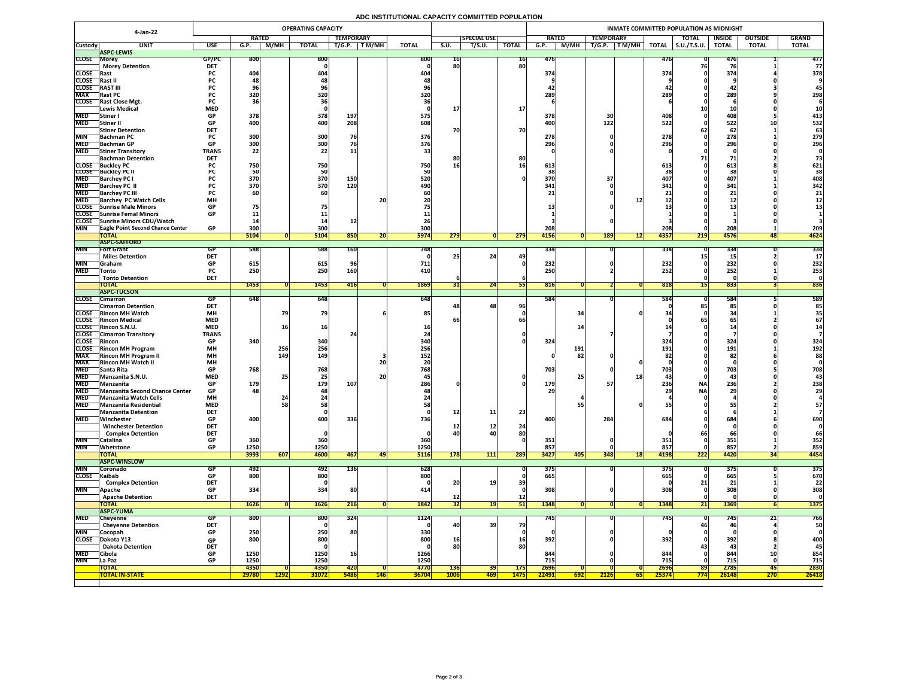## **ADC INSTITUTIONAL CAPACITY COMMITTED POPULATION**

|                            | 4-Jan-22                                                                   | <b>OPERATING CAPACITY</b> |                         |             |                         |                  |             |              |                 |                    |                 | INMATE COMMITTED POPULATION AS MIDNIGHT |                  |            |              |                        |                   |                |              |  |  |  |
|----------------------------|----------------------------------------------------------------------------|---------------------------|-------------------------|-------------|-------------------------|------------------|-------------|--------------|-----------------|--------------------|-----------------|-----------------------------------------|------------------|------------|--------------|------------------------|-------------------|----------------|--------------|--|--|--|
|                            |                                                                            |                           | <b>RATED</b>            |             |                         | <b>TEMPORARY</b> |             |              |                 | <b>SPECIAL USE</b> |                 | <b>RATED</b>                            | <b>TEMPORARY</b> |            |              | <b>TOTAL</b>           | <b>INSIDE</b>     | <b>OUTSIDE</b> | <b>GRAND</b> |  |  |  |
| <b>Custody</b>             | <b>UNIT</b>                                                                | <b>USE</b>                | G.P.                    | M/MH        | <b>TOTAL</b>            | T/G.P.           | T M/MH      | <b>TOTAL</b> | S.U.            | T/S.U.             | <b>TOTAL</b>    | M/MH<br>G.P.                            | T/G.P.           | TM/MH      | <b>TOTAL</b> | $\vert$ S.U./T.S.U.    | <b>TOTAL</b>      | <b>TOTAL</b>   | <b>TOTAL</b> |  |  |  |
| <b>CLOSE Morey</b>         | <b>ASPC-LEWIS</b>                                                          | GP/PC                     | <b>800</b>              |             | 800                     |                  |             | 800          | 16              |                    | <b>16</b>       | 476                                     |                  |            | 476          |                        |                   |                | 477          |  |  |  |
|                            | <b>Morey Detention</b>                                                     | <b>DET</b>                |                         |             |                         |                  |             |              | 80              |                    | 80              |                                         |                  |            |              |                        |                   |                | 77           |  |  |  |
| CLOSE Rast                 |                                                                            | <b>PC</b>                 | 404                     |             | 404                     |                  |             | <b>404</b>   |                 |                    |                 | 374                                     |                  |            | 374          |                        | 374               |                | 378          |  |  |  |
| CLOSE Rast II              |                                                                            | <b>PC</b>                 |                         |             |                         |                  |             |              |                 |                    |                 |                                         |                  |            |              |                        |                   |                |              |  |  |  |
| <b>CLOSE</b><br><b>MAX</b> | <b>RAST III</b>                                                            | <b>PC</b>                 | 320                     |             | 320                     |                  |             | 320          |                 |                    |                 | 289                                     |                  |            | 289          |                        | <b>44</b><br>289  |                | 298          |  |  |  |
|                            | <b>Rast PC</b><br><b>CLOSE</b> Rast Close Mgt.                             | <b>PC</b>                 |                         |             |                         |                  |             |              |                 |                    |                 |                                         |                  |            |              |                        |                   |                |              |  |  |  |
|                            | Lewis Medical                                                              | <b>MED</b>                |                         |             |                         |                  |             |              |                 |                    | 17              |                                         |                  |            |              |                        |                   |                |              |  |  |  |
| <b>MED</b>                 | Stiner                                                                     | <b>GP</b>                 | 378                     |             | 378                     | 197              |             | 575          |                 |                    |                 | 378                                     |                  |            | 408.         |                        | <b>408</b>        |                | 413          |  |  |  |
| <b>MED</b>                 | Stiner II                                                                  | <b>GP</b>                 | 400                     |             | 400                     | 208              |             | 608          |                 |                    |                 | 400                                     | 122              |            | 522          |                        | 522               |                | 532          |  |  |  |
|                            | <b>Stiner Detention</b>                                                    | <b>DET</b>                |                         |             |                         | 76               |             |              | 70              |                    | 70              |                                         |                  |            |              |                        | 62                |                | 63           |  |  |  |
| <b>MIN</b>                 | <b>Bachman PC</b><br>MED Bachman GP                                        | <b>PC</b><br>GD.          | 300<br>300 <sub>l</sub> |             | 300<br>300 <sub>l</sub> |                  |             | 376<br>376   |                 |                    |                 | 278<br>296                              |                  |            | 278<br>2961  |                        | 278<br>206        |                | 279<br>296   |  |  |  |
| <b>MED</b>                 | <b>Stiner Transitory</b>                                                   | <b>UL</b><br><b>TRANS</b> | $ $ JUU<br>22           |             | ι υυς<br>22             | <b>11</b>        |             |              |                 |                    |                 |                                         |                  |            | <b>ZJU</b>   |                        | <b>ZJU</b>        |                |              |  |  |  |
|                            | <b>Bachman Detention</b>                                                   | <b>DET</b>                |                         |             |                         |                  |             |              |                 |                    | 80              |                                         |                  |            |              |                        |                   |                |              |  |  |  |
|                            | <b>CLOSE</b> Buckley PC                                                    |                           | 750                     |             | 750                     |                  |             | 750          | 16              |                    |                 | 613                                     |                  |            | 613          |                        | 613               |                | 621          |  |  |  |
| <b>MED</b>                 | <b>CLOSE</b> Buckley PC II                                                 |                           |                         |             | 50                      | 150              |             |              |                 |                    |                 | 370                                     |                  |            |              |                        |                   |                | 38<br>408    |  |  |  |
| <b>MED</b>                 | <b>Barchey PC I</b><br><b>Barchey PC II</b>                                |                           | 370<br>370              |             | 370<br>370              | 120              |             | 520<br>490   |                 |                    |                 | 341                                     |                  |            | 407<br>341   |                        | 407<br>341        |                | 342          |  |  |  |
| <b>MED</b>                 | <b>Barchey PC III</b>                                                      |                           |                         |             |                         |                  |             |              |                 |                    |                 |                                         |                  |            |              |                        |                   |                | 21           |  |  |  |
| <b>MED</b>                 | <b>Barchey PC Watch Cells</b>                                              | <b>MH</b>                 |                         |             |                         |                  | <b>20</b>   |              |                 |                    |                 |                                         |                  |            |              |                        | & &               |                |              |  |  |  |
|                            | CLOSE Sunrise Male Minors                                                  | <b>GP</b>                 | 75                      |             |                         |                  |             |              |                 |                    |                 |                                         |                  |            |              |                        |                   |                |              |  |  |  |
|                            | <b>CLOSE</b> Sunrise Femal Minors                                          | <b>GP</b>                 |                         |             |                         |                  |             |              |                 |                    |                 |                                         |                  |            |              |                        |                   |                |              |  |  |  |
| <b>MIN</b>                 | CLOSE Sunrise Minors CDU/Watch<br><b>TEagle Point Second Chance Center</b> | <b>GP</b>                 | 300                     |             | 300                     |                  |             | 300          |                 |                    |                 | 208                                     |                  |            | <b>208</b>   |                        | 208               |                | 209          |  |  |  |
|                            | <b>TOTAL</b>                                                               |                           | 5104                    |             | 5104                    | 850              | ZU.         | <b>5974</b>  | 279             |                    | 279             | 4156                                    | <b>189</b>       | 121        | 4357         | 219                    | 4576              | 48             | 4624         |  |  |  |
|                            | <b>ASPC-SAFFORD</b>                                                        |                           |                         |             |                         |                  |             |              |                 |                    |                 |                                         |                  |            |              |                        |                   |                |              |  |  |  |
| <b>MIN</b>                 | <b>Fort Grant</b>                                                          | <b>GP</b>                 | 588                     |             | 588                     | <b>160</b>       |             | 7481         |                 |                    |                 | 334                                     |                  |            | <b>334</b>   |                        | 334               |                | 334          |  |  |  |
| <b>MIN</b>                 | <b>Miles Detention</b>                                                     | <b>DET</b><br><b>GP</b>   |                         |             |                         |                  |             |              |                 | 24                 | 49              | 232                                     |                  |            | 232)         |                        |                   |                |              |  |  |  |
| <b>MED</b>                 | <b>Graham</b><br><b>Tonto</b>                                              | <b>PC</b>                 | 615<br>250              |             | 615<br>250              | <b>160</b>       |             | 711<br>410   |                 |                    |                 | 250                                     |                  |            | 252          |                        | 232<br>252        |                | 232<br>253   |  |  |  |
|                            | <b>Tonto Detention</b>                                                     | <b>DET</b>                |                         |             |                         |                  |             |              |                 |                    |                 |                                         |                  |            |              |                        |                   |                |              |  |  |  |
|                            | <b>TOTAL</b>                                                               |                           | 1453                    |             | 1453                    | <b>416</b>       |             | 1869         | <b>PTC</b>      | $\overline{24}$    |                 | 816                                     |                  |            | 818          |                        | 833               |                | 836          |  |  |  |
|                            | <b>ASPC-TUCSON</b>                                                         |                           |                         |             |                         |                  |             |              |                 |                    |                 |                                         |                  |            |              |                        |                   |                |              |  |  |  |
| <b>CLOSE</b>               | <b>Cimarron</b><br><b>Cimarron Detention</b>                               | GP<br><b>DET</b>          | 648                     |             | 648                     |                  |             | 648          | 48              | 48                 | 96 <sub>1</sub> | 584                                     |                  |            | 584          |                        | 584<br>85         |                | 589<br>85    |  |  |  |
|                            | <b>CLOSE</b> Rincon MH Watch                                               | <b>MH</b>                 |                         |             | 79                      |                  |             | 85           |                 |                    |                 | 34                                      |                  |            |              |                        |                   |                |              |  |  |  |
|                            | <b>CLOSE</b> Rincon Medical                                                | <b>MED</b>                |                         |             |                         |                  |             |              |                 |                    |                 |                                         |                  |            |              |                        |                   |                | 67           |  |  |  |
|                            | CLOSE Rincon S.N.U.                                                        | <b>MED</b>                |                         |             | <b>16</b>               |                  |             |              |                 |                    |                 |                                         |                  |            |              |                        |                   |                |              |  |  |  |
|                            | <b>CLOSE</b> Cimarron Transitory                                           | <b>TRANS</b>              |                         |             |                         |                  |             |              |                 |                    |                 |                                         |                  |            |              |                        |                   |                |              |  |  |  |
| CLOSE Rincon               | <b>CLOSE</b> Rincon MH Program                                             | <b>GP</b><br><b>MH</b>    | 340                     | 256         | 340<br>256              |                  |             | 340<br>256   |                 |                    |                 | 324<br>191                              |                  |            | 324<br>191   |                        | 324<br>191        |                | 324<br>192   |  |  |  |
| <b>MAX</b>                 | <b>Rincon MH Program II</b>                                                | <b>MH</b>                 |                         | <b>149</b>  | 149                     |                  |             | 152          |                 |                    |                 |                                         | 82               |            |              |                        | 82                |                | 88           |  |  |  |
| <b>MAX</b>                 | <b>Rincon MH Watch II</b>                                                  | <b>MH</b>                 |                         |             |                         |                  | 20          |              |                 |                    |                 |                                         |                  |            |              |                        |                   |                |              |  |  |  |
| <b>MED</b>                 | <b>Santa Rita</b>                                                          | <b>GP</b>                 | 768                     |             | 768                     |                  |             | 768          |                 |                    |                 | 703                                     |                  |            | 703          |                        | 703               |                | 708          |  |  |  |
| <b>MED</b>                 | Manzanita S.N.U.                                                           | <b>MED</b>                |                         |             |                         |                  | <b>20</b>   |              |                 |                    |                 | 25                                      |                  | 18         |              |                        | 43                |                |              |  |  |  |
| <b>MED</b>                 | Manzanita<br>MED Manzanita Second Chance Center                            | <b>GP</b><br><b>GP</b>    | 179<br>481              |             | 179<br><b>48</b>        | 107              |             | 286          |                 |                    |                 | 179<br>29                               |                  |            | 236          | <b>NA</b><br><b>NA</b> | 236<br><b>29'</b> |                | 238<br>29    |  |  |  |
| <b>MED</b>                 | Manzanita Watch Cells                                                      | <b>MH</b>                 |                         |             |                         |                  |             |              |                 |                    |                 |                                         |                  |            |              |                        |                   |                |              |  |  |  |
| <b>MED</b>                 | <b>Manzanita Residential</b>                                               | <b>MED</b>                |                         |             | 58                      |                  |             |              |                 |                    |                 |                                         |                  |            |              |                        |                   |                | 57           |  |  |  |
|                            | Manzanita Detention                                                        | <b>DET</b>                |                         |             |                         |                  |             |              | 12              | 11                 | 23              |                                         |                  |            |              |                        |                   |                |              |  |  |  |
| <b>MED</b>                 | Winchester                                                                 | <b>GP</b>                 | 400                     |             | 400                     | 336              |             | 736          |                 |                    |                 | 400                                     | 284              |            | 684          |                        | 684               |                | 690          |  |  |  |
|                            | <b>Winchester Detention</b><br><b>Complex Detention</b>                    | <b>DET</b><br><b>DET</b>  |                         |             |                         |                  |             |              | <u>12</u><br>40 | ┸∠                 | 24<br>80        |                                         |                  |            |              |                        |                   |                | 66           |  |  |  |
| <b>MIN</b>                 | Catalina                                                                   | <b>GP</b>                 | 360                     |             | 360                     |                  |             | 360          |                 |                    |                 | 351                                     |                  |            | 351          |                        | 351               |                | 352          |  |  |  |
| <b>MIN</b>                 | Whetstone                                                                  | <b>GP</b>                 | 1250                    |             | 1250                    |                  |             | 1250         |                 |                    |                 | 857                                     |                  |            | 857          |                        | 857               |                | 859          |  |  |  |
|                            | <b>TOTAL</b>                                                               |                           | 3993                    | 607         | 4600                    | 467              | 49          | <b>5116</b>  | <b>178</b>      | 111                | 289             | 3427<br><b>405</b>                      | 348              | <b>18</b>  | 4198         | 222                    | 4420              |                | 4454         |  |  |  |
|                            | <b>ASPC-WINSLOW</b>                                                        |                           |                         |             |                         |                  |             |              |                 |                    |                 |                                         |                  |            |              |                        |                   |                |              |  |  |  |
| <b>MIN</b><br>CLOSE Kaibab | Coronado                                                                   | GP.<br><b>GP</b>          | 492<br>800              |             | 492<br>800              | 136              |             | 628<br>800   |                 |                    |                 | 375<br>665                              |                  |            | 375'<br>665  |                        | 375<br>665        |                | 375<br>670   |  |  |  |
|                            | <b>Complex Detention</b>                                                   | <b>DET</b>                |                         |             |                         |                  |             |              | 20              | 19                 | 39              |                                         |                  |            |              |                        |                   |                | 22           |  |  |  |
| <b>MIN</b>                 | <b>Apache</b>                                                              | <b>GP</b>                 | 334                     |             | 334                     | 80               |             |              |                 |                    |                 | 308                                     |                  |            | 308          |                        | 308               |                | 308          |  |  |  |
|                            | <b>Apache Detention</b>                                                    | <b>DET</b>                |                         |             |                         |                  |             |              | TC              |                    | 12              |                                         |                  |            |              |                        |                   |                |              |  |  |  |
|                            | <b>TOTAL</b>                                                               |                           | 1626                    |             | <b>1626</b>             | 216              |             | 1842         | 32              | 191                | 51              | 1348                                    |                  |            | 1348         | 21                     | 1369              |                | <b>1375</b>  |  |  |  |
| <b>MED</b>                 | <b>ASPC-YUMA</b>                                                           | <b>GP</b>                 | <b>800</b>              |             | 800                     | 324              |             | 1124         |                 |                    |                 | 745                                     |                  |            | 745          |                        | 745               |                | 766          |  |  |  |
|                            | <b>Cheyenne</b><br><b>Cheyenne Detention</b>                               | <b>DET</b>                |                         |             |                         |                  |             |              | <b>40</b>       | <b>39</b>          | 79              |                                         |                  |            |              |                        | 46                | 21             | 50           |  |  |  |
| <b>MIN</b>                 | Cocopah                                                                    | <b>GP</b>                 | 250                     |             | 250                     | <b>80</b>        |             | 330          |                 |                    |                 |                                         |                  |            |              |                        |                   |                |              |  |  |  |
|                            | CLOSE Dakota Y13                                                           | <b>GP</b>                 | 800                     |             | 800                     |                  |             | 800          | 16 <sub>1</sub> |                    | <b>16</b>       | 392                                     |                  |            | 392          |                        | 392               |                | 400          |  |  |  |
|                            | <b>Dakota Detention</b>                                                    | <b>DET</b>                |                         |             |                         |                  |             |              | 80              |                    | 80              |                                         |                  |            |              |                        | -43               |                | 45           |  |  |  |
| <b>MED</b><br><b>MIN</b>   | <b>Cibola</b><br><b>La Paz</b>                                             | <b>GP</b><br><b>GP</b>    | 1250<br>1250            |             | 1250<br>1250            | <b>16</b>        |             | 1266<br>1250 |                 |                    |                 | 844<br>715                              |                  |            | 844<br>715   |                        | 844<br>715        |                | 854<br>715   |  |  |  |
|                            | <b>TOTAL</b>                                                               |                           | 4350                    |             | 4350                    | <b>420</b>       |             | 4770         | <b>136</b>      | 39                 | <b>175</b>      | 2696                                    |                  |            | 2696         | 89                     | 2785              | 45             | 2830         |  |  |  |
|                            | <b>TOTAL IN-STATE</b>                                                      |                           | 29780                   | <b>1292</b> | <b>31072</b>            | <b>5486</b>      | <u> 146</u> | <b>36704</b> | <b>1006</b>     | <b>469</b>         | <b>1475</b>     | 22491<br>692                            | 2126             | <u>651</u> | 25374        | <b>774</b>             | 26148             | <b>270</b>     | 26418        |  |  |  |
|                            |                                                                            |                           |                         |             |                         |                  |             |              |                 |                    |                 |                                         |                  |            |              |                        |                   |                |              |  |  |  |